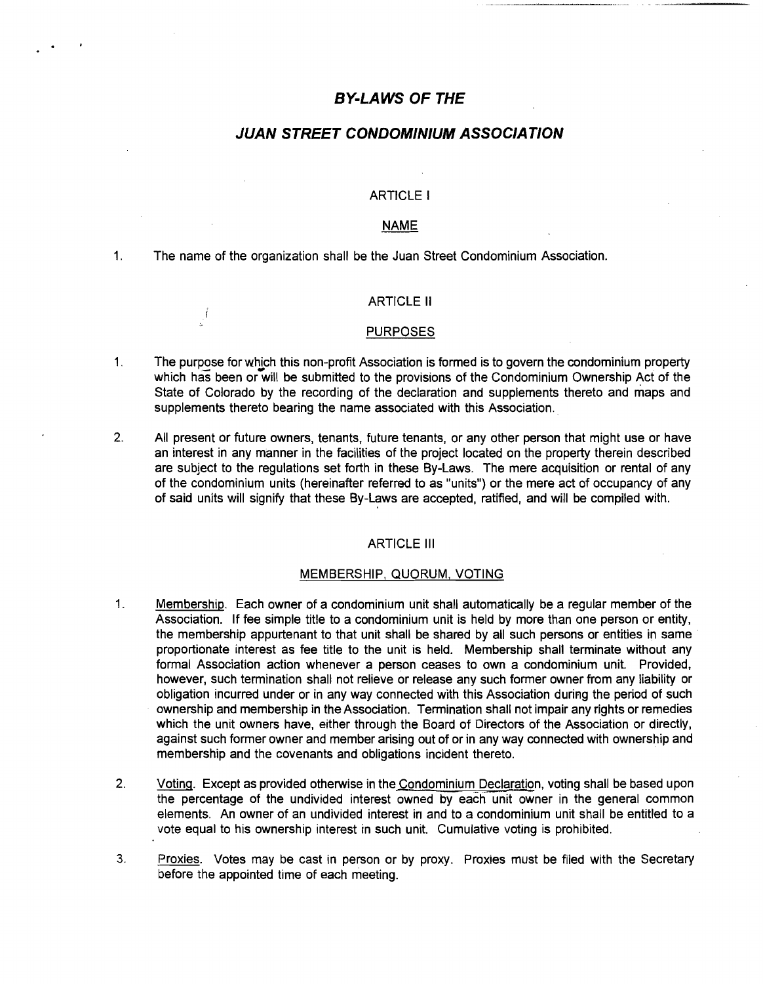# **BY-LAWS OF THE**

# **JUAN STREET CONDOMINIUM ASSOCIATION**

### ARTICLE I

#### **NAME**

1. The name of the organization shall be the Juan Street Condominium Association.

İ

### ARTICLE II

#### PURPOSES

- 1. The purpose for which this non-profit Association is formed is to govern the condominium property which has been or will be submitted to the provisions of the Condominium Ownership Act of the State of Colorado by the recording of the declaration and supplements thereto and maps and supplements thereto bearing the name associated with this Association.
- 2. All present or future owners, tenants, future tenants, or any other person that might use or have an interest in any manner in the facilities of the project located on the property therein described are subject to the regulations set forth in these By-Laws. The mere acquisition or rental of any of the condominium units (hereinafter referred to as "units") or the mere act of occupancy of any of said units will signify that these By-Laws are accepted, ratified, and will be compiled with.

#### ARTICLE III

# MEMBERSHIP, QUORUM. VOTING

- 1. Membership. Each owner of a condominium unit shall automatically be a regular member of the Association. If fee simple title to a condominium unit is held by more than one person or entity, the membership appurtenant to that unit shall be shared by all such persons or entities in same proportionate interest as fee title to the unit is held. Membership shall terminate without any formal Association action whenever a person ceases to own a condominium unit. Provided, however, such termination shall not relieve or release any such former owner from any liability or obligation incurred under or in any way connected with this Association durinq the period of such ownership and membership in the Association. Termination shall not impair any rights or remedies which the unit owners have, either through the Board of Directors of the Association or directly, against such former owner and member arising out of or in any way connected with ownership and membership and the covenants and obligations incident thereto. .
- 2. Voting. Except as provided otherwise in the Condominium Declaration, voting shall be based upon the percentage of the undivided interest owned by each unit owner in the general common elements. An owner of an undivided interest in and to a condominium unit shall be entitled to a vote equal to his ownership interest in such unit. Cumulative voting is prohibited.
- 3. Proxies. Votes may be cast in person or by proxy. Proxies must be filed with the Secretary before the appointed time of each meeting.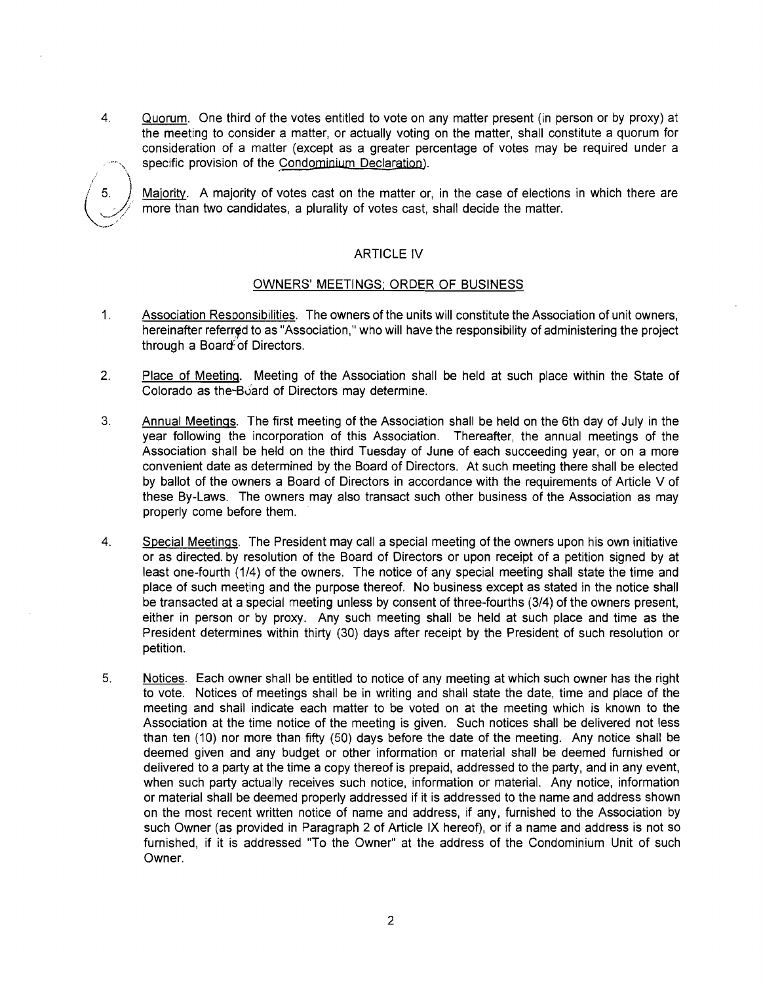4. Quorum. One third of the votes entitled to vote on any matter present (in person or by proxy) at the meeting to consider a matter, or actually voting on the matter, shall constitute a quorum for consideration of a matter (except as a greater percentage of votes may be required under a specific provision of the Condominium Declaration).



Majority. A majority of votes cast on the matter or, in the case of elections in which there are more than two candidates, a plurality of votes cast, shall decide the matter.

# **ARTICLE IV**

# OWNERS' MEETINGS; ORDER OF BUSINESS

- 1. Association Responsibilities. The owners of the units will constitute the Association of unit owners, hereinafter referred to as "Association," who will have the responsibility of administering the project through a Board of Directors.
- 2. Place of Meeting. Meeting of the Association shall be held at such place within the State of Colorado as the-Board of Directors may determine.
- 3. Annual Meetings. The first meeting of the Association shall be held on the 6th day of July in the year following the incorporation of this Association. Thereafter, the annual meetings of the Association shall be held on the third Tuesday of June of each succeeding year, or on a more convenient date as determined by the Board of Directors. At such meeting there shall be elected by ballot of the owners a Board of Directors in accordance with the requirements of Article V of these By-Laws. The owners may also transact such other business of the Association as may properly come before them.
- 4. Special Meetings. The President may call a special meeting of the owners upon his own initiative or as directed. by resolution of the Board of Directors or upon receipt of a petition signed by at least one-fourth (1/4) of the owners. The notice of any special meeting shall state the time and place of such meeting and the purpose thereof. No business except as stated in the notice shall be transacted at a special meeting unless by consent of three-fourths (3/4) of the owners present, either in person or by proxy. Any such meeting shall be held at such place and time as the President determines within thirty (30) days after receipt by the President of such resolution or petition.
- 5. Notices. Each owner shall be entitled to notice of any meeting at which such owner has the right to vote. Notices of meetings shall be in writing and shall state the date, time and place of the meeting and shall indicate each matter to be voted on at the meeting which is known to the Association at the time notice of the meeting is given. Such notices shall be delivered not less than ten (10) nor more than fifty (50) days before the date of the meeting. Any notice shall be deemed given and any budget or other information or material shall be deemed furnished or delivered to a party at the time a copy thereof is prepaid, addressed to the party, and in any event, when such party actually receives such notice, information or material. Any notice, information or material shall be deemed properly addressed if it is addressed to the name and address shown on the most recent written notice of name and address, if any, furnished to the Association by such Owner (as provided in Paragraph 2 of Article IX hereof), or if a name and address is not so furnished, if it is addressed "To the Owner" at the address of the Condominium Unit of such Owner.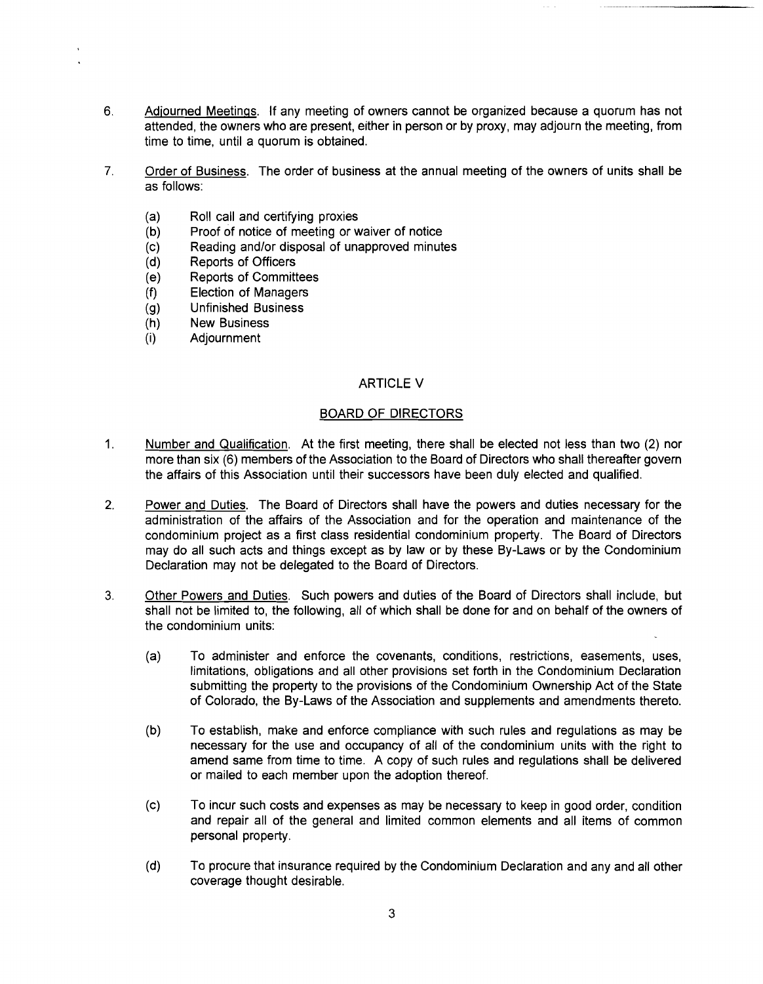- 6. Adjourned Meetings. If any meeting of owners cannot be organized because a quorum has not attended, the owners who are present, either in person or by proxy, may adjourn the meeting, from time to time, until a quorum is obtained.
- 7. Order of Business. The order of business at the annual meeting of the owners of units shall be as follows:
	- (a) Roll call and certifying proxies
	- (b) Proof of notice of meeting or waiver of notice
	- (c) Reading and/or disposal of unapproved minutes
	- (d) Reports of Officers
	- (e) Reports of Committees
	- (f) Election of Managers
	- (g) Unfinished Business
	- (h) New Business
	- (i) Adjournment

# ARTICLE V

# BOARD OF DIRECTORS

- 1. Number and Qualification. At the first meeting, there shall be elected not less than two (2) nor more than six (6) members of the Association to the Board of Directors who shall thereafter govern the affairs of this Association until their successors have been duly elected and qualified.
- 2. Power and Duties. The Board of Directors shall have the powers and duties necessary for the administration of the affairs of the Association and for the operation and maintenance of the condominium project as a first class residential condominium property. The Board of Directors may do all such acts and things except as by law or by these By-Laws or by the Condominium Declaration may not be delegated to the Board of Directors.
- 3. Other Powers and Duties. Such powers and duties of the Board of Directors shall include, but shall not be limited to, the following, all of which shall be done for and on behalf of the owners of the condominium units:
	- (a) To administer and enforce the covenants, conditions, restrictions, easements, uses, limitations, obligations and all other provisions set forth in the Condominium Declaration submitting the property to the provisions of the Condominium Ownership Act of the State of Colorado, the By-Laws of the Association and supplements and amendments thereto.
	- (b) To establish, make and enforce compliance with such rules and regulations as may be necessary for the use and occupancy of all of the condominium units with the right to amend same from time to time. A copy of such rules and regulations shall be delivered or mailed to each member upon the adoption thereof.
	- (c) To incur such costs and expenses as may be necessary to keep in good order, condition and repair all of the general and limited common elements and all items of common personal property.
	- (d) To procure that insurance required by the Condominium Declaration and any and all other coverage thought desirable.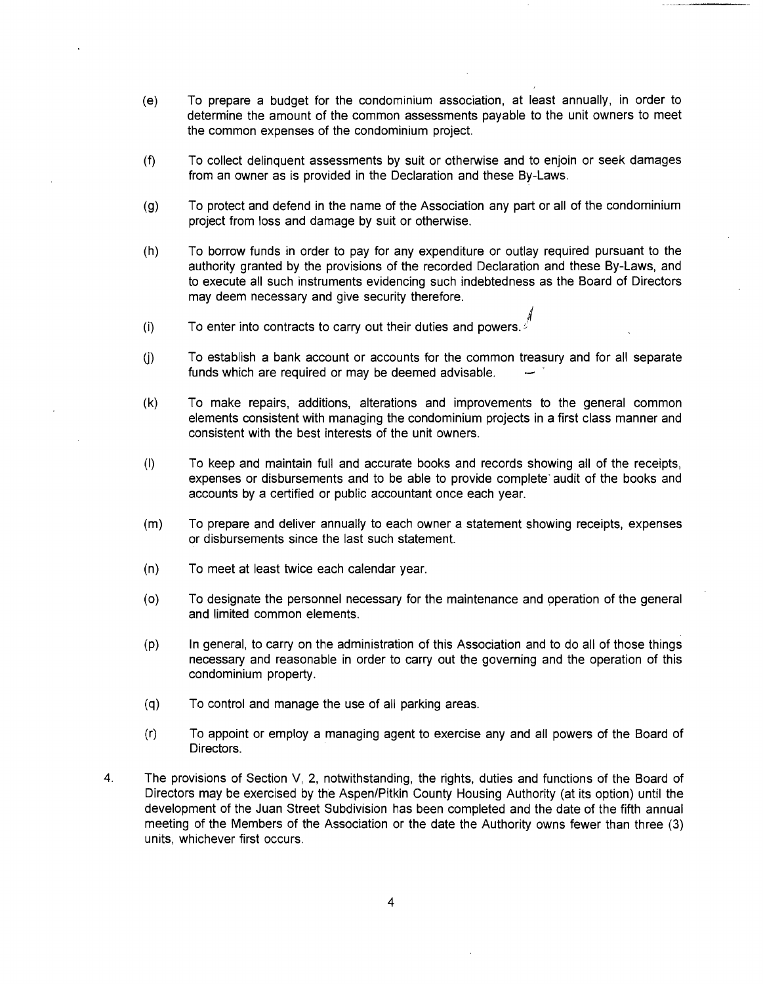- (e) To prepare a budget for the condominium association, at least annually, in order to determine the amount of the common assessments payable to the unit owners to meet the common expenses of the condominium project.
- (f) To collect delinquent assessments by suit or otherwise and to enjoin or seek damages from an owner as is provided in the Declaration and these By-Laws.
- (g) To protect and defend in the name of the Association any part or all of the condominium project from loss and damage by suit or otherwise.
- (h) To borrow funds in order to pay for any expenditure or outlay required pursuant to the authority granted by the provisions of the recorded Declaration and these By-Laws, and to execute all such instruments evidencing such indebtedness as the Board of Directors may deem necessary and give security therefore.
- i (i) To enter into contracts to carry out their duties and powers.  $\epsilon$
- (i) To establish a bank account or accounts for the common treasury and for all separate funds which are required or may be deemed advisable.
- (k) To make repairs, additions, alterations and improvements to the general common elements consistent with managing the condominium projects in a first class manner and consistent with the best interests of the unit owners.
- (I) To keep and maintain full and accurate books and records showing all of the receipts, expenses or disbursements and to be able to provide complete' audit of the books and accounts by a certified or public accountant once each year.
- (m) To prepare and deliver annually to each owner a statement showing receipts, expenses or disbursements since the last such statement.
- (n) To meet at least twice each calendar year.
- (0) To designate the personnel necessary for the maintenance and operation of the general and limited common elements.
- (p) In general, to carry on the administration of this Association and to do all of those things necessary and reasonable in order to carry out the governing and the operation of this condominium property.
- (q) To control and manage the use of all parking areas.
- (r) To appoint or employ a managing agent to exercise any and all powers of the Board of Directors.
- 4. The provisions of Section V, 2, notwithstanding, the rights, duties and functions of the Board of Directors may be exercised by the Aspen/Pitkin County Housing Authority (at its option) until the development of the Juan Street Subdivision has been completed and the date of the fifth annual meeting of the Members of the Association or the date the Authority owns fewer than three (3) units, whichever first occurs.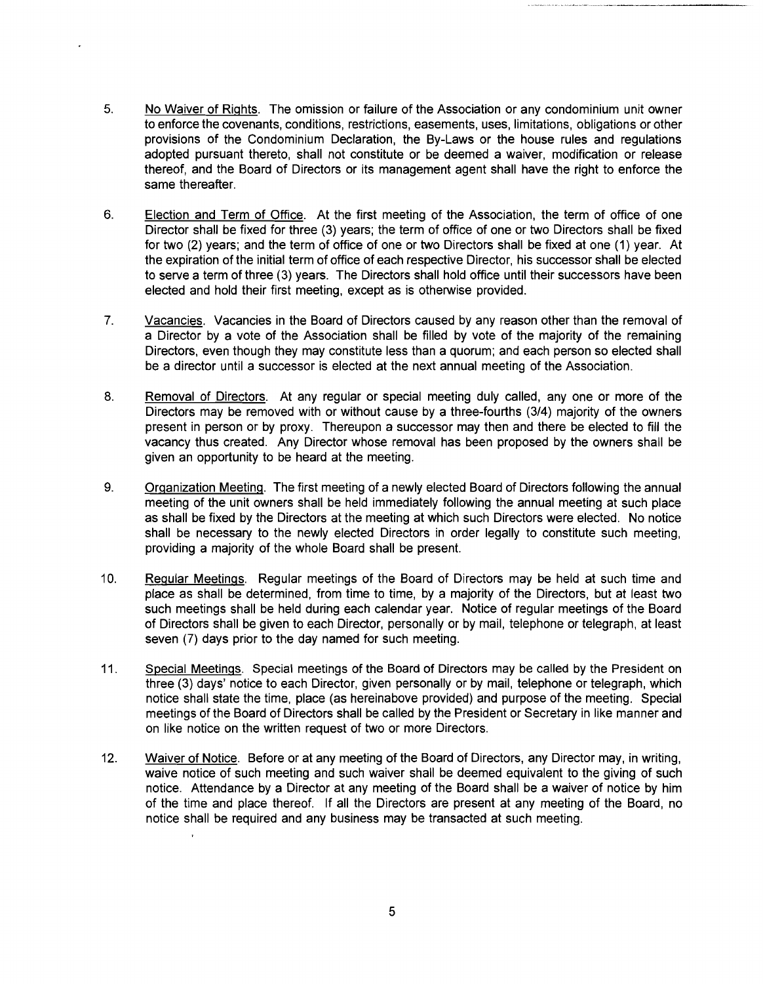- 5. No Waiver of Rights. The omission or failure of the Association or any condominium unit owner to enforce the covenants, conditions, restrictions, easements, uses, limitations, obligations or other provisions of the Condominium Declaration, the By-Laws or the house rules and regulations adopted pursuant thereto, shall not constitute or be deemed a waiver, modification or release thereof, and the Board of Directors or its management agent shall have the right to enforce the same thereafter.
- 6. Election and Term of Office. At the first meeting of the Association, the term of office of one Director shall be fixed for three (3) years; the term of office of one or two Directors shall be fixed for two (2) years; and the term of office of one or two Directors shall be fixed at one (1) year. At the expiration of the initial term of office of each respective Director, his successor shall be elected to serve a term of three (3) years. The Directors shall hold office until their successors have been elected and hold their first meeting, except as is otherwise provided.
- 7. Vacancies. Vacancies in the Board of Directors caused by any reason other than the removal of a Director by a vote of the Association shall be filled by vote of the majority of the remaining Directors, even though they may constitute less than a quorum; and each person so elected shall be a director until a successor is elected at the next annual meeting of the Association.
- 8. Removal of Directors. At any regular or special meeting duly called, any one or more of the Directors may be removed with or without cause by a three-fourths (3/4) majority of the owners present in person or by proxy. Thereupon a successor may then and there be elected to fill the vacancy thus created. Any Director whose removal has been proposed by the owners shall be given an opportunity to be heard at the meeting.
- 9. Organization Meeting. The first meeting of a newly elected Board of Directors following the annual meeting of the unit owners shall be held immediately following the annual meeting at such place as shall be fixed by the Directors at the meeting at which such Directors were elected. No notice shall be necessary to the newly elected Directors in order legally to constitute such meeting, providing a majority of the whole Board shall be present.
- 10. Regular Meetings. Regular meetings of the Board of Directors may be held at such time and place as shall be determined, from time to time, by a majority of the Directors, but at least two such meetings shall be held during each calendar year. Notice of regular meetings of the Board of Directors shall be given to each Director, personally or by mail, telephone or telegraph, at least seven (7) days prior to the day named for such meeting.
- 11. Special Meetings. Special meetings of the Board of Directors may be called by the President on three (3) days' notice to each Director, given personally or by mail, telephone or telegraph, which notice shall state the time, place (as hereinabove provided) and purpose of the meeting. Special meetings of the Board of Directors shall be called by the President or Secretary in like manner and on like notice on the written request of two or more Directors.
- 12. Waiver of Notice. Before or at any meeting of the Board of Directors, any Director may, in writing, waive notice of such meeting and such waiver shall be deemed equivalent to the giving of such notice. Attendance by a Director at any meeting of the Board shall be a waiver of notice by him of the time and place thereof. If all the Directors are present at any meeting of the Board, no notice shall be required and any business may be transacted at such meeting.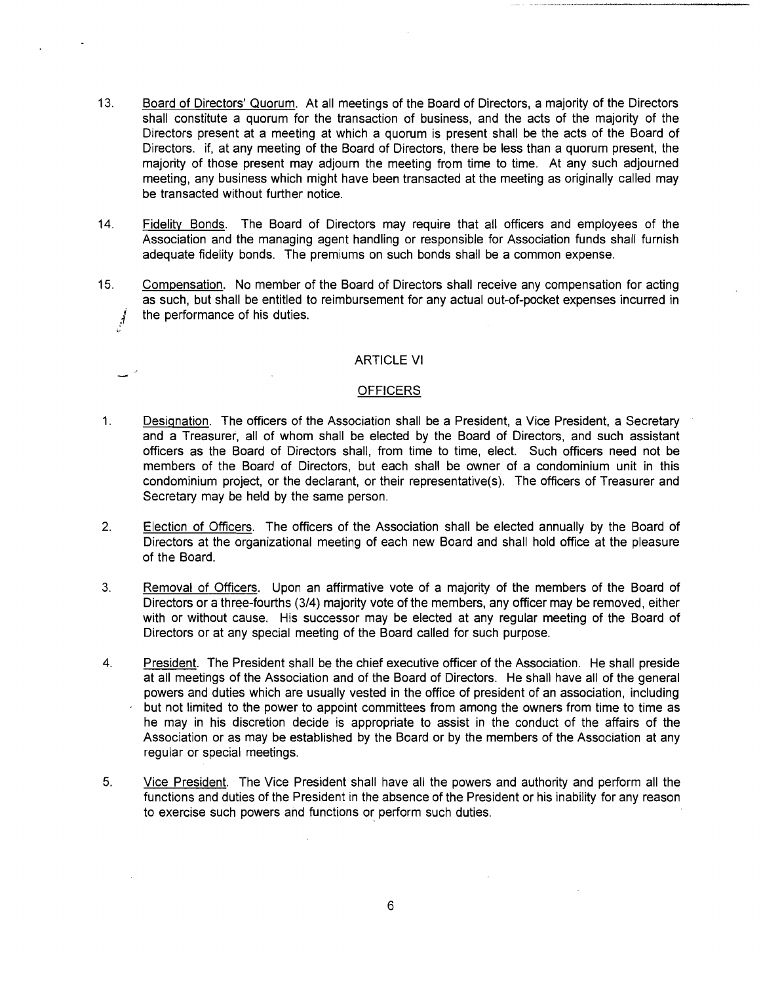- 13. Board of Directors' Quorum. At all meetings of the Board of Directors, a majority of the Directors shall constitute a quorum for the transaction of business, and the acts of the majority of the Directors present at a meeting at which a quorum is present shall be the acts of the Board of Directors. if, at any meeting of the Board of Directors, there be less than a quorum present, the majority of those present may adjourn the meeting from time to time. At any such adjourned meeting, any business which might have been transacted at the meeting as originally called may be transacted without further notice.
- 14. Fidelity Bonds. The Board of Directors may require that all officers and employees of the Association and the managing agent handling or responsible for Association funds shall furnish adequate fidelity bonds. The premiums on such bonds shall be a common expense.
- 15. Compensation. No member of the Board of Directors shall receive any compensation for acting as such, but shall be entitled to reimbursement for any actual out-of-pocket expenses incurred in the performance of his duties.

### ARTICLE VI

### **OFFICERS**

- 1. Designation. The officers of the Association shall be a President, a Vice President, a Secretary and a Treasurer, all of whom shall be elected by the Board of Directors, and such assistant officers as the Board of Directors shall, from time to time, elect. Such officers need not be members of the Board of Directors, but each shall be owner of a condominium unit in this condominium project, or the declarant, or their representative(s). The officers of Treasurer and Secretary may be held by the same person.
- 2. Election of Officers. The officers of the Association shall be elected annually by the Board of Directors at the organizational meeting of each new Board and shall hold office at the pleasure of the Board.
- 3. Removal of Officers. Upon an affirmative vote of a majority of the members of the Board of Directors or a three-fourths (3/4) majority vote of the members, any officer may be removed, either with or without cause. His successor may be elected at any regular meeting of the Board of Directors or at any special meeting of the Board called for such purpose.
- 4. President. The President shall be the chief executive officer of the Association. He shall preside at all meetings of the Association and of the Board of Directors. He shall have all of the general powers and duties which are usually vested in the office of president of an association, including but not limited to the power to appoint committees from among the owners from time to time as he may in his discretion decide is appropriate to assist in the conduct of the affairs of the Association or as may be established by the Board or by the members of the Association at any regular or special meetings.
- 5. Vice President. The Vice President shall have all the powers and authority and perform all the functions and duties of the President in the absence of the President or his inability for any reason to exercise such powers and functions or perform such duties.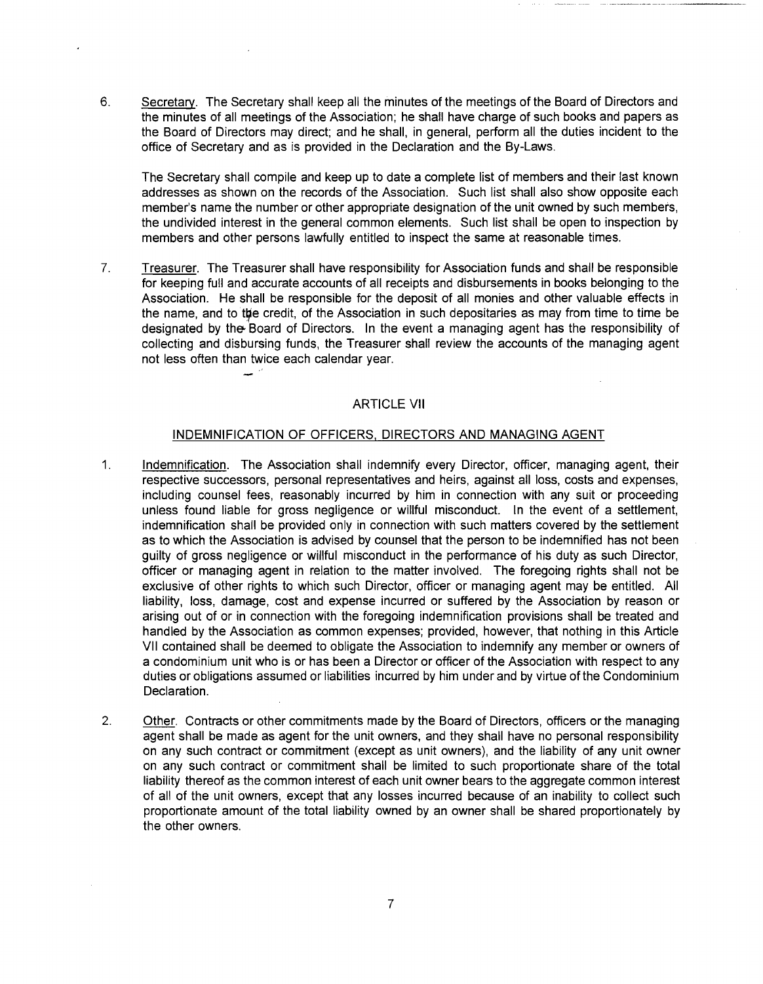6. Secretary. The Secretary shall keep all the minutes of the meetings of the Board of Directors and the minutes of all meetings of the Association; he shall have charge of such books and papers as the Board of Directors may direct; and he shall, in general, perform all the duties incident to the office of Secretary and as is provided in the Declaration and the By-Laws.

The Secretary shall compile and keep up to date a complete list of members and their last known addresses as shown on the records of the Association. Such list shall also show opposite each member's name the number or other appropriate designation of the unit owned by such members, the undivided interest in the general common elements. Such list shall be open to inspection by members and other persons lawfully entitled to inspect the same at reasonable times.

7. Treasurer. The Treasurer shall have responsibility for Association funds and shall be responsible for keeping full and accurate accounts of all receipts and disbursements in books belonging to the Association. He shall be responsible for the deposit of all monies and other valuable effects in the name, and to the credit, of the Association in such depositaries as may from time to time be designated by the- Board of Directors. In the event a managing agent has the responsibility of collecting and disbursing funds, the Treasurer shall review the accounts of the managing agent not less often than twice each calendar year.

# ARTICLE VII

 $\bar{z}$ 

### INDEMNIFICATION OF OFFICERS, DIRECTORS AND MANAGING AGENT

- 1. Indemnification. The Association shall indemnify every Director, officer, managing agent, their respective successors, personal representatives and heirs, against all loss, costs and expenses, including counsel fees, reasonably incurred by him in connection with any suit or proceeding unless found liable for gross negligence or willful misconduct. In the event of a settlement, indemnification shall be provided only in connection with such matters covered by the settlement as to which the Association is advised by counsel that the person to be indemnified has not been guilty of gross negligence or willful misconduct in the performance of his duty as such Director, officer or managing agent in relation to the matter involved. The foregoing rights shall not be exclusive of other rights to which such Director, officer or managing agent may be entitled. All liability, loss, damage, cost and expense incurred or suffered by the Association by reason or arising out of or in connection with the foregoing indemnification provisions shall be treated and handled by the Association as common expenses; provided, however, that nothing in this Article VII contained shall be deemed to obligate the Association to indemnify any member or owners of a condominium unit who is or has been a Director or officer of the Association with respect to any duties or obligations assumed or liabilities incurred by him under and by virtue of the Condominium Declaration.
- 2. Other. Contracts or other commitments made by the Board of Directors, officers or the managing agent shall be made as agent for the unit owners, and they shall have no personal responsibility on any such contract or commitment (except as unit owners), and the liability of any unit owner on any such contract or commitment shall be limited to such proportionate share of the total liability thereof as the common interest of each unit owner bears to the aggregate common interest of all of the unit owners, except that any losses incurred because of an inability to collect such proportionate amount of the total liability owned by an owner shall be shared proportionately by the other owners.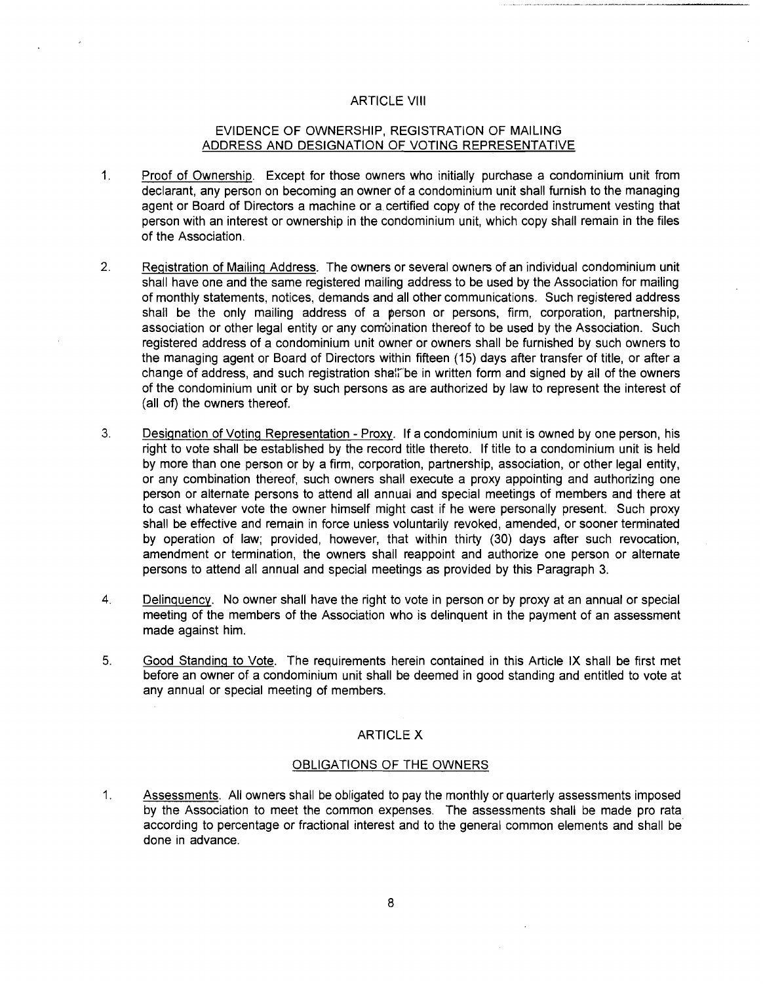### ARTICLE VIII

# EVIDENCE OF OWNERSHIP, REGISTRATION OF MAILING ADDRESS AND DESIGNATION OF VOTING REPRESENTATIVE

- 1. Proof of Ownership. Except for those owners who initially purchase a condominium unit from declarant, any person on becoming an owner of a condominium unit shall furnish to the managing agent or Board of Directors a machine or a.certified copy of the recorded instrument vesting that person with an interest or ownership in the condominium unit, which copy shall remain in the files of the Association.
- 2. Registration of Mailing Address. The owners or several owners of an individual condominium unit shall have one and the same registered mailing address to be used by the Association for mailing of monthly statements, notices, demands and all other communications. Such registered address shall be the only mailing address of a person or persons, firm, corporation, partnership, association or other legal entity or any compination thereof to be used by the Association. Such registered address of a condominium unit owner or owners shall be furnished by such owners to the managing agent or Board of Directors within fifteen (15) days after transfer of title, or after a change of address, and such registration shall be in written form and signed by all of the owners of the condominium unit or by such persons as are authorized by law to represent the interest of (all of) the owners thereof.
- 3. Designation of Voting Representation Proxy. If a condominium unit is owned by one person, his right to vote shall be established by the record title thereto. If title to a condominium unit is held by more than one person or by a firm, corporation, partnership, association, or other legal entity, or any combination thereof, such owners shall execute a proxy appointing and authorizing one person or alternate persons to attend all annual and special meetings of members and there at to cast whatever vote the owner himself might cast if he were personally present. Such proxy shall be effective and remain in force unless voluntarily revoked, amended, or sooner terminated by operation of law; provided, however, that within thirty (30) days after such revocation, amendment or termination, the owners shall reappoint and authorize one person or alternate persons to attend all annual and special meetings as provided by this Paragraph 3.
- 4. Delinquency. No owner shall have the right to vote in person or by proxy at an annual or special meeting of the members of the Association who is delinquent in the payment of an assessment made against him.
- 5. Good Standing to Vote. The requirements herein contained in this Article IX shall be first met before an owner of a condominium unit shall be deemed in good standing and entitled to vote at any annual or special meeting of members.

### ARTICLE X

#### OBLIGATIONS OF THE OWNERS

1. Assessments. All owners shall be obligated to pay the monthly or quarterly assessments imposed by the Association to meet the common expenses. The assessments shall be made pro rata according to percentage or fractional interest and to the general common elements and shall be done in advance.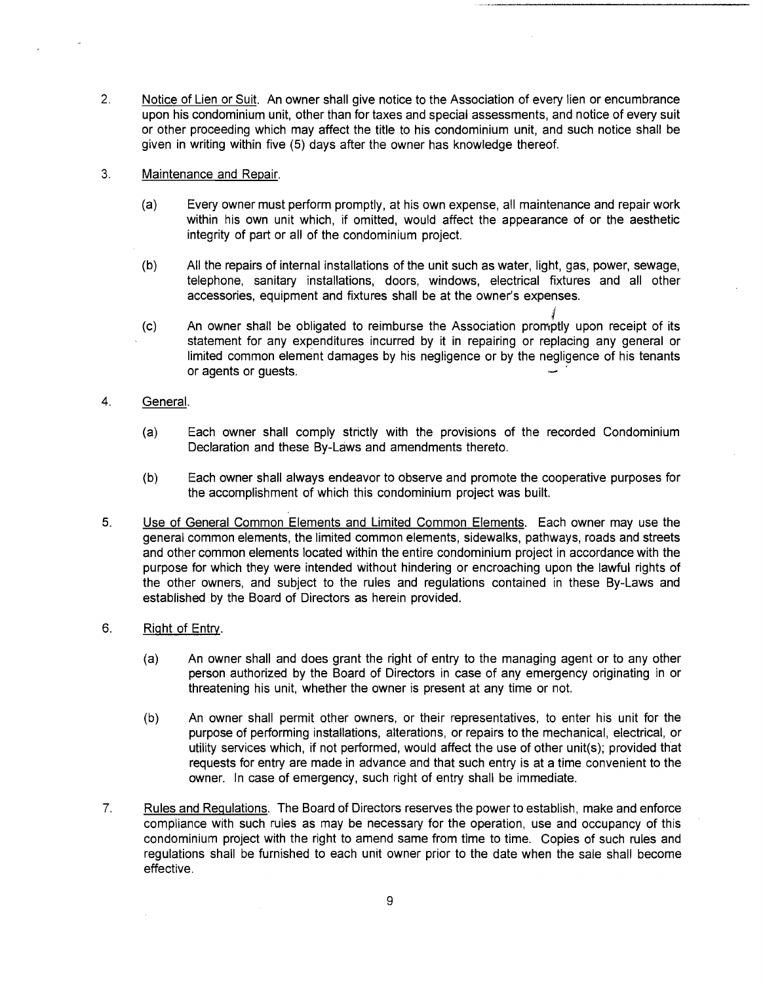2. Notice of Lien or Suit. An owner shall give notice to the Association of every lien or encumbrance upon his condominium unit, other than for taxes and special assessments, and notice of every suit or other proceeding which may affect the title to his condominium unit, and such notice shall be given in writing within five (5) days after the owner has knowledge thereof.

### 3. Maintenance and Repair.

- (a) Every owner must perform promptly, at his own expense, all maintenance and repair work within his own unit which, if omitted, would affect the appearance of or the aesthetic integrity of part or all of the condominium project.
- (b) All the repairs of internal installations of the unit such as water, light, gas, power, sewage, telephone, sanitary installations, doors, windows, electrical fixtures and all other accessories, equipment and fixtures shall be at the owner's expenses.
- i (c) An owner shall be obligated to reimburse the Association promptly upon receipt of its statement for any expenditures incurred by it in repairing or replacing any general or limited common element damages by his negligence or by the negligence of his tenants or agents or guests. .
- 4. General.
	- (a) Each owner shall comply strictly with the provisions of the recorded Condominium Declaration and these By-Laws and amendments thereto.
	- (b) Each owner shall always endeavor to observe and promote the cooperative purposes for the accomplishment of which this condominium project was built.
- 5. Use of General Common Elements and Limited Common Elements. Each owner may use the general common elements, the limited common elements, sidewalks, pathways, roads and streets and other common elements located within the entire condominium project in accordance with the purpose for which they were intended without hindering or encroaching upon the lawful rights of the other owners, and subject to the rules and requlations contained in these By-Laws and established by the Board of Directors as herein provided.
- 6. Right of Entry.
	- (a) An owner shall and does grant the right of entry to the managing agent or to any other person authorized by the Board of Directors in case of any emergency originating in or threatening his unit, whether the owner is present at any time or not.
	- (b) An owner shall permit other owners, or their representatives, to enter his unit for the purpose of performing installations, alterations, or repairs to the mechanical, electrical, or utility services which, if not performed, would affect the use of other unit(s); provided that requests for entry are made in advance and that such entry is at a time convenient to the owner. In case of emergency, such right of entry shall be immediate.
- 7. Rules and Regulations. The Board of Directors reserves the power to establish, make and enforce compliance with such rules as may be necessary for the operation, use and occupancy of this condominium project with the right to amend same from time to time. Copies of such rules and requlations shall be furnished to each unit owner prior to the date when the sale shall become effective.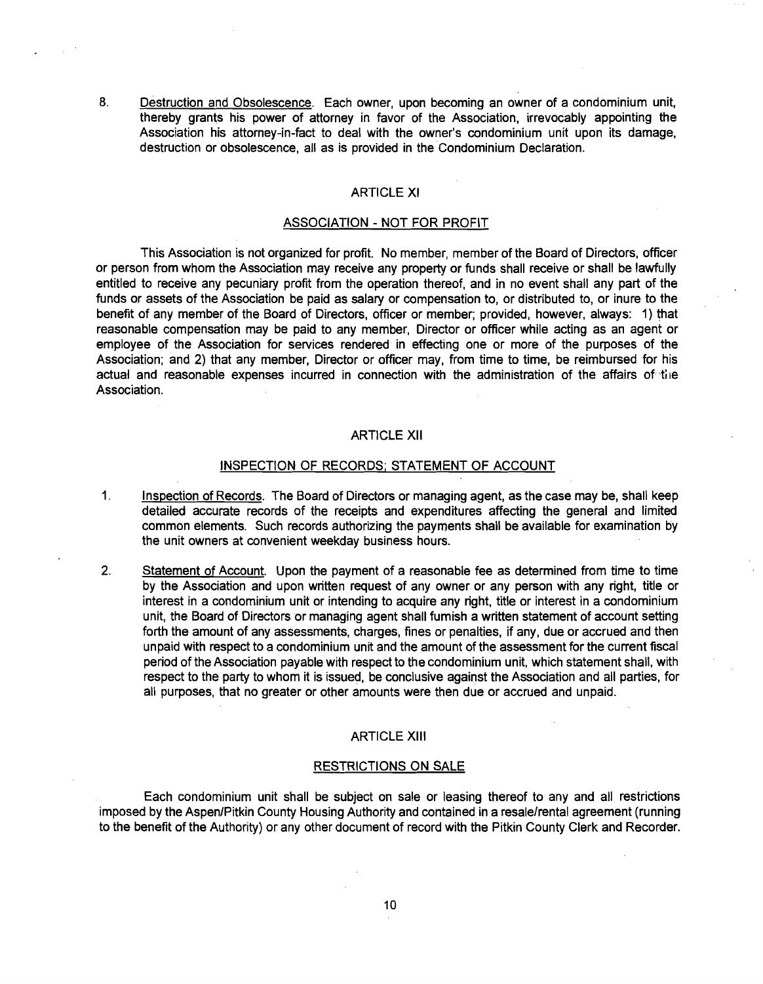8. Destruction and Obsolescence. Each owner, upon becoming an owner of a condominium unit, thereby grants his power of attorney in favor of the Association, irrevocably appointing the Association his attorney-in-fact to deal with the owner's condominium unit upon its damage, destruction or obsolescence, all as is provided in the Condominium Declaration.

# ARTICLE XI

#### ASSOCIATION - NOT FOR PROFIT

This Association is not organized for profit. No member, member of the Board of Directors, officer or person from whom the Association may receive any property or funds shall receive or shall be lawfully entitled to receive any pecuniary profit from the operation thereof, and in no event shall any part of the funds or assets of the Association be paid as salary or compensation to, or distributed to, or inure to the benefit of any member of the Board of Directors, officer or member; provided, however, always: 1) that reasonable compensation may be paid to any member, Director or officer while acting as an agent or employee of the Association for services rendered in effecting one or more of the purposes of the Association; and 2) that any member, Director or officer may, from time to time, be reimbursed for his actual and reasonable expenses incurred in connection with the administration of the affairs of the Association.

#### ARTICLE XII

#### INSPECTION OF RECORDS; STATEMENT OF ACCOUNT

- 1. Inspection of Records. The Board of Directors or managing agent, as the case may be, shall keep detailed accurate records of the receipts and expenditures affecting the general and limited common elements. Such records authorizing the payments shall be available for examination by the unit owners at convenient weekday business hours.
- 2. Statement of Account. Upon the payment of a reasonable fee as determined from time to time by the Association and upon written request of any owner or any person with any right, title or interest in a condominium unit or intending to acquire any right, title or interest in a condominium unit, the Board of Directors or managing agent shall furnish a written statement of account setting forth the amount of any assessments, charges, fines or penalties, if any, due or accrued and then unpaid with respect to a condominium unit and the amount of the assessment for the current fiscal period of the Association payable with respect to the condominium unit, which statement shall, with respect to the party to whom it is issued, be conclusive against the Association and all parties, for all purposes, that no greater or other amounts were then due or accrued and unpaid.

### ARTICLE XIII

#### RESTRICTIONS ON SALE

Each condominium unit shall be subject on sale or leasing thereof to any and all restrictions imposed by the Aspen/Pitkin County Housing Authority and contained in a resale/rental agreement (running to the benefit of the Authority) or any other document of record with the Pitkin County Clerk and Recorder.